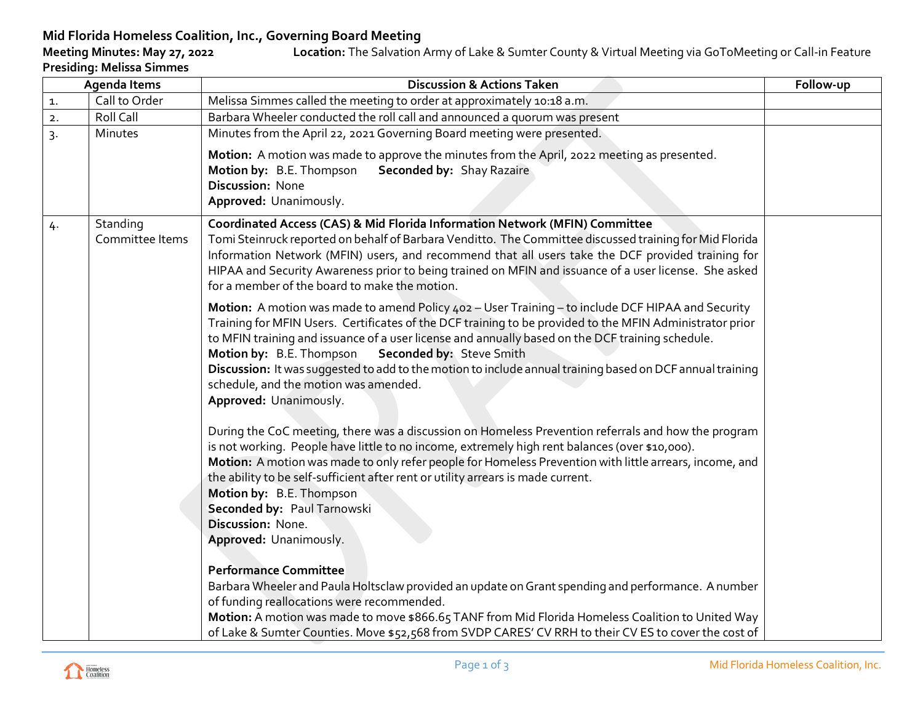## **Mid Florida Homeless Coalition, Inc., Governing Board Meeting** Location: The Salvation Army of Lake & Sumter County & Virtual Meeting via GoToMeeting or Call-in Feature **Presiding: Melissa Simmes**

| <b>Agenda Items</b> |                             | <b>Discussion &amp; Actions Taken</b>                                                                                                                                                                                                                                                                                                                                                                                                                                                                                                                                                                                                                                                                                                                                                                                                                                                                                                                                                         | Follow-up |
|---------------------|-----------------------------|-----------------------------------------------------------------------------------------------------------------------------------------------------------------------------------------------------------------------------------------------------------------------------------------------------------------------------------------------------------------------------------------------------------------------------------------------------------------------------------------------------------------------------------------------------------------------------------------------------------------------------------------------------------------------------------------------------------------------------------------------------------------------------------------------------------------------------------------------------------------------------------------------------------------------------------------------------------------------------------------------|-----------|
| 1.                  | Call to Order               | Melissa Simmes called the meeting to order at approximately 10:18 a.m.                                                                                                                                                                                                                                                                                                                                                                                                                                                                                                                                                                                                                                                                                                                                                                                                                                                                                                                        |           |
| 2.                  | Roll Call                   | Barbara Wheeler conducted the roll call and announced a quorum was present                                                                                                                                                                                                                                                                                                                                                                                                                                                                                                                                                                                                                                                                                                                                                                                                                                                                                                                    |           |
| $\overline{3}$      | Minutes                     | Minutes from the April 22, 2021 Governing Board meeting were presented.                                                                                                                                                                                                                                                                                                                                                                                                                                                                                                                                                                                                                                                                                                                                                                                                                                                                                                                       |           |
|                     |                             | Motion: A motion was made to approve the minutes from the April, 2022 meeting as presented.<br>Motion by: B.E. Thompson<br>Seconded by: Shay Razaire<br><b>Discussion: None</b><br>Approved: Unanimously.                                                                                                                                                                                                                                                                                                                                                                                                                                                                                                                                                                                                                                                                                                                                                                                     |           |
| 4.                  | Standing<br>Committee Items | Coordinated Access (CAS) & Mid Florida Information Network (MFIN) Committee<br>Tomi Steinruck reported on behalf of Barbara Venditto. The Committee discussed training for Mid Florida<br>Information Network (MFIN) users, and recommend that all users take the DCF provided training for<br>HIPAA and Security Awareness prior to being trained on MFIN and issuance of a user license. She asked<br>for a member of the board to make the motion.                                                                                                                                                                                                                                                                                                                                                                                                                                                                                                                                         |           |
|                     |                             | Motion: A motion was made to amend Policy 402 - User Training - to include DCF HIPAA and Security<br>Training for MFIN Users. Certificates of the DCF training to be provided to the MFIN Administrator prior<br>to MFIN training and issuance of a user license and annually based on the DCF training schedule.<br>Motion by: B.E. Thompson<br>Seconded by: Steve Smith<br>Discussion: It was suggested to add to the motion to include annual training based on DCF annual training<br>schedule, and the motion was amended.<br>Approved: Unanimously.<br>During the CoC meeting, there was a discussion on Homeless Prevention referrals and how the program<br>is not working. People have little to no income, extremely high rent balances (over \$10,000).<br>Motion: A motion was made to only refer people for Homeless Prevention with little arrears, income, and<br>the ability to be self-sufficient after rent or utility arrears is made current.<br>Motion by: B.E. Thompson |           |
|                     |                             | Seconded by: Paul Tarnowski<br>Discussion: None.<br>Approved: Unanimously.<br><b>Performance Committee</b><br>Barbara Wheeler and Paula Holtsclaw provided an update on Grant spending and performance. A number<br>of funding reallocations were recommended.<br>Motion: A motion was made to move \$866.65 TANF from Mid Florida Homeless Coalition to United Way<br>of Lake & Sumter Counties. Move \$52,568 from SVDP CARES' CV RRH to their CV ES to cover the cost of                                                                                                                                                                                                                                                                                                                                                                                                                                                                                                                   |           |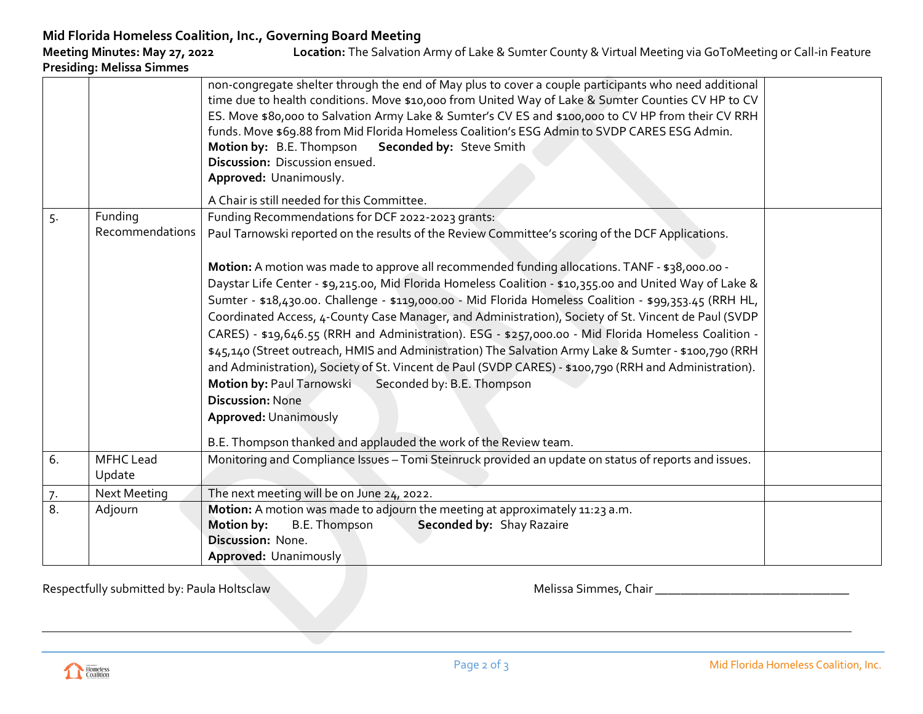|    |                     | non-congregate shelter through the end of May plus to cover a couple participants who need additional<br>time due to health conditions. Move \$10,000 from United Way of Lake & Sumter Counties CV HP to CV<br>ES. Move \$80,000 to Salvation Army Lake & Sumter's CV ES and \$100,000 to CV HP from their CV RRH<br>funds. Move \$69.88 from Mid Florida Homeless Coalition's ESG Admin to SVDP CARES ESG Admin.<br>Motion by: B.E. Thompson<br>Seconded by: Steve Smith<br>Discussion: Discussion ensued.<br>Approved: Unanimously.<br>A Chair is still needed for this Committee. |  |  |  |  |
|----|---------------------|--------------------------------------------------------------------------------------------------------------------------------------------------------------------------------------------------------------------------------------------------------------------------------------------------------------------------------------------------------------------------------------------------------------------------------------------------------------------------------------------------------------------------------------------------------------------------------------|--|--|--|--|
|    | Funding             |                                                                                                                                                                                                                                                                                                                                                                                                                                                                                                                                                                                      |  |  |  |  |
| 5. | Recommendations     | Funding Recommendations for DCF 2022-2023 grants:                                                                                                                                                                                                                                                                                                                                                                                                                                                                                                                                    |  |  |  |  |
|    |                     | Paul Tarnowski reported on the results of the Review Committee's scoring of the DCF Applications.                                                                                                                                                                                                                                                                                                                                                                                                                                                                                    |  |  |  |  |
|    |                     |                                                                                                                                                                                                                                                                                                                                                                                                                                                                                                                                                                                      |  |  |  |  |
|    |                     | Motion: A motion was made to approve all recommended funding allocations. TANF - \$38,000.00 -                                                                                                                                                                                                                                                                                                                                                                                                                                                                                       |  |  |  |  |
|    |                     | Daystar Life Center - \$9,215.00, Mid Florida Homeless Coalition - \$10,355.00 and United Way of Lake &                                                                                                                                                                                                                                                                                                                                                                                                                                                                              |  |  |  |  |
|    |                     | Sumter - \$18,430.00. Challenge - \$119,000.00 - Mid Florida Homeless Coalition - \$99,353.45 (RRH HL,                                                                                                                                                                                                                                                                                                                                                                                                                                                                               |  |  |  |  |
|    |                     | Coordinated Access, 4-County Case Manager, and Administration), Society of St. Vincent de Paul (SVDP                                                                                                                                                                                                                                                                                                                                                                                                                                                                                 |  |  |  |  |
|    |                     | CARES) - \$19,646.55 (RRH and Administration). ESG - \$257,000.00 - Mid Florida Homeless Coalition -                                                                                                                                                                                                                                                                                                                                                                                                                                                                                 |  |  |  |  |
|    |                     | \$45,140 (Street outreach, HMIS and Administration) The Salvation Army Lake & Sumter - \$100,790 (RRH                                                                                                                                                                                                                                                                                                                                                                                                                                                                                |  |  |  |  |
|    |                     | and Administration), Society of St. Vincent de Paul (SVDP CARES) - \$100,790 (RRH and Administration).                                                                                                                                                                                                                                                                                                                                                                                                                                                                               |  |  |  |  |
|    |                     | Motion by: Paul Tarnowski<br>Seconded by: B.E. Thompson<br><b>Discussion: None</b>                                                                                                                                                                                                                                                                                                                                                                                                                                                                                                   |  |  |  |  |
|    |                     |                                                                                                                                                                                                                                                                                                                                                                                                                                                                                                                                                                                      |  |  |  |  |
|    |                     | <b>Approved: Unanimously</b>                                                                                                                                                                                                                                                                                                                                                                                                                                                                                                                                                         |  |  |  |  |
|    |                     | B.E. Thompson thanked and applauded the work of the Review team.                                                                                                                                                                                                                                                                                                                                                                                                                                                                                                                     |  |  |  |  |
| 6. | MFHC Lead           | Monitoring and Compliance Issues - Tomi Steinruck provided an update on status of reports and issues.                                                                                                                                                                                                                                                                                                                                                                                                                                                                                |  |  |  |  |
|    | Update              |                                                                                                                                                                                                                                                                                                                                                                                                                                                                                                                                                                                      |  |  |  |  |
| 7. | <b>Next Meeting</b> | The next meeting will be on June 24, 2022.                                                                                                                                                                                                                                                                                                                                                                                                                                                                                                                                           |  |  |  |  |
| 8. | Adjourn             | Motion: A motion was made to adjourn the meeting at approximately 11:23 a.m.                                                                                                                                                                                                                                                                                                                                                                                                                                                                                                         |  |  |  |  |
|    |                     | Motion by:<br>B.E. Thompson<br>Seconded by: Shay Razaire                                                                                                                                                                                                                                                                                                                                                                                                                                                                                                                             |  |  |  |  |
|    |                     | Discussion: None.                                                                                                                                                                                                                                                                                                                                                                                                                                                                                                                                                                    |  |  |  |  |
|    |                     | Approved: Unanimously                                                                                                                                                                                                                                                                                                                                                                                                                                                                                                                                                                |  |  |  |  |

Respectfully submitted by: Paula Holtsclaw Melissa Simmes, Chair \_\_\_\_\_\_\_\_\_\_\_\_\_\_\_\_\_\_\_\_\_\_\_\_\_\_\_\_\_\_\_